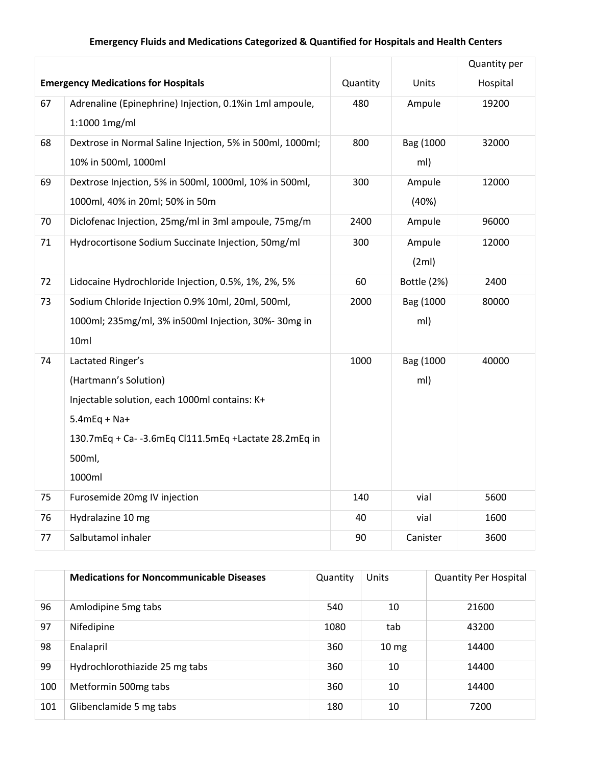## **Emergency Fluids and Medications Categorized & Quantified for Hospitals and Health Centers**

|                                            |                                                           |          |             | Quantity per |
|--------------------------------------------|-----------------------------------------------------------|----------|-------------|--------------|
| <b>Emergency Medications for Hospitals</b> |                                                           | Quantity | Units       | Hospital     |
| 67                                         | Adrenaline (Epinephrine) Injection, 0.1%in 1ml ampoule,   | 480      | Ampule      | 19200        |
|                                            | 1:1000 1mg/ml                                             |          |             |              |
| 68                                         | Dextrose in Normal Saline Injection, 5% in 500ml, 1000ml; | 800      | Bag (1000   | 32000        |
|                                            | 10% in 500ml, 1000ml                                      |          | ml)         |              |
| 69                                         | Dextrose Injection, 5% in 500ml, 1000ml, 10% in 500ml,    | 300      | Ampule      | 12000        |
|                                            | 1000ml, 40% in 20ml; 50% in 50m                           |          | (40%)       |              |
| 70                                         | Diclofenac Injection, 25mg/ml in 3ml ampoule, 75mg/m      | 2400     | Ampule      | 96000        |
| 71                                         | Hydrocortisone Sodium Succinate Injection, 50mg/ml        | 300      | Ampule      | 12000        |
|                                            |                                                           |          | (2ml)       |              |
| 72                                         | Lidocaine Hydrochloride Injection, 0.5%, 1%, 2%, 5%       | 60       | Bottle (2%) | 2400         |
| 73                                         | Sodium Chloride Injection 0.9% 10ml, 20ml, 500ml,         | 2000     | Bag (1000   | 80000        |
|                                            | 1000ml; 235mg/ml, 3% in500ml Injection, 30%-30mg in       |          | ml)         |              |
|                                            | 10ml                                                      |          |             |              |
| 74                                         | Lactated Ringer's                                         | 1000     | Bag (1000   | 40000        |
|                                            | (Hartmann's Solution)                                     |          | ml)         |              |
|                                            | Injectable solution, each 1000ml contains: K+             |          |             |              |
|                                            | $5.4$ mEq + Na+                                           |          |             |              |
|                                            | 130.7mEq + Ca- -3.6mEq Cl111.5mEq +Lactate 28.2mEq in     |          |             |              |
|                                            | 500ml,                                                    |          |             |              |
|                                            | 1000ml                                                    |          |             |              |
| 75                                         | Furosemide 20mg IV injection                              | 140      | vial        | 5600         |
| 76                                         | Hydralazine 10 mg                                         | 40       | vial        | 1600         |
| 77                                         | Salbutamol inhaler                                        | 90       | Canister    | 3600         |

|     | <b>Medications for Noncommunicable Diseases</b> | Quantity | Units            | <b>Quantity Per Hospital</b> |
|-----|-------------------------------------------------|----------|------------------|------------------------------|
| 96  | Amlodipine 5mg tabs                             | 540      | 10               | 21600                        |
| 97  | Nifedipine                                      | 1080     | tab              | 43200                        |
| 98  | Enalapril                                       | 360      | 10 <sub>mg</sub> | 14400                        |
| 99  | Hydrochlorothiazide 25 mg tabs                  | 360      | 10               | 14400                        |
| 100 | Metformin 500mg tabs                            | 360      | 10               | 14400                        |
| 101 | Glibenclamide 5 mg tabs                         | 180      | 10               | 7200                         |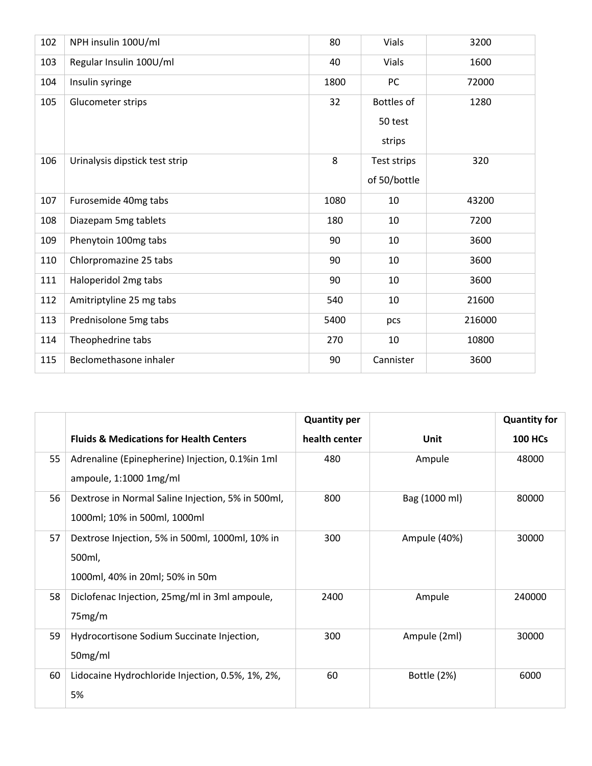| 102 | NPH insulin 100U/ml            | 80   | Vials        | 3200   |
|-----|--------------------------------|------|--------------|--------|
| 103 | Regular Insulin 100U/ml        | 40   | <b>Vials</b> | 1600   |
| 104 | Insulin syringe                | 1800 | PC           | 72000  |
| 105 | Glucometer strips              | 32   | Bottles of   | 1280   |
|     |                                |      | 50 test      |        |
|     |                                |      | strips       |        |
| 106 | Urinalysis dipstick test strip | 8    | Test strips  | 320    |
|     |                                |      | of 50/bottle |        |
| 107 | Furosemide 40mg tabs           | 1080 | 10           | 43200  |
| 108 | Diazepam 5mg tablets           | 180  | 10           | 7200   |
| 109 | Phenytoin 100mg tabs           | 90   | 10           | 3600   |
| 110 | Chlorpromazine 25 tabs         | 90   | 10           | 3600   |
| 111 | Haloperidol 2mg tabs           | 90   | 10           | 3600   |
| 112 | Amitriptyline 25 mg tabs       | 540  | 10           | 21600  |
| 113 | Prednisolone 5mg tabs          | 5400 | pcs          | 216000 |
| 114 | Theophedrine tabs              | 270  | 10           | 10800  |
| 115 | Beclomethasone inhaler         | 90   | Cannister    | 3600   |

|    |                                                                                              | <b>Quantity per</b> |               | <b>Quantity for</b> |
|----|----------------------------------------------------------------------------------------------|---------------------|---------------|---------------------|
|    | <b>Fluids &amp; Medications for Health Centers</b>                                           | health center       | Unit          | <b>100 HCs</b>      |
| 55 | Adrenaline (Epinepherine) Injection, 0.1%in 1ml<br>ampoule, 1:1000 1mg/ml                    | 480                 | Ampule        | 48000               |
| 56 | Dextrose in Normal Saline Injection, 5% in 500ml,<br>1000ml; 10% in 500ml, 1000ml            | 800                 | Bag (1000 ml) | 80000               |
| 57 | Dextrose Injection, 5% in 500ml, 1000ml, 10% in<br>500ml,<br>1000ml, 40% in 20ml; 50% in 50m | 300                 | Ampule (40%)  | 30000               |
| 58 | Diclofenac Injection, 25mg/ml in 3ml ampoule,<br>75mg/m                                      | 2400                | Ampule        | 240000              |
| 59 | Hydrocortisone Sodium Succinate Injection,<br>50mg/ml                                        | 300                 | Ampule (2ml)  | 30000               |
| 60 | Lidocaine Hydrochloride Injection, 0.5%, 1%, 2%,<br>5%                                       | 60                  | Bottle (2%)   | 6000                |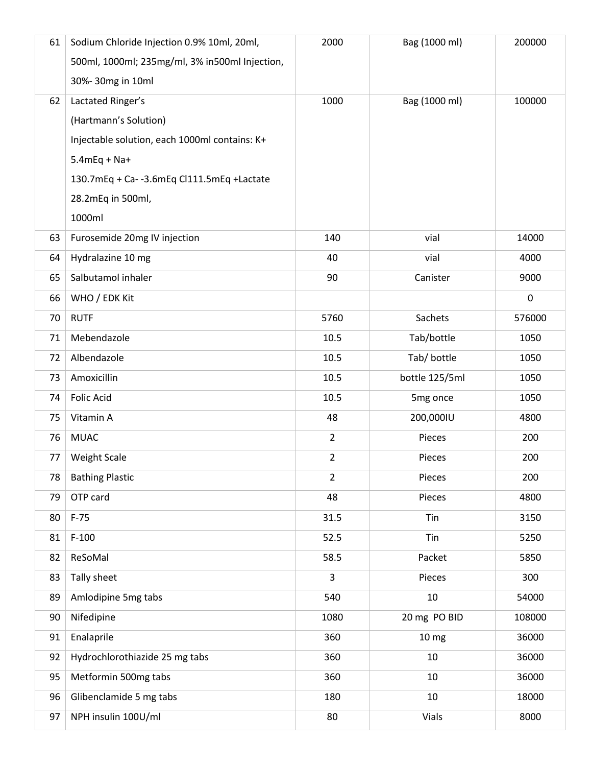| 61 | Sodium Chloride Injection 0.9% 10ml, 20ml,     | 2000           | Bag (1000 ml)    | 200000      |
|----|------------------------------------------------|----------------|------------------|-------------|
|    | 500ml, 1000ml; 235mg/ml, 3% in500ml Injection, |                |                  |             |
|    | 30%-30mg in 10ml                               |                |                  |             |
| 62 | Lactated Ringer's                              | 1000           | Bag (1000 ml)    | 100000      |
|    | (Hartmann's Solution)                          |                |                  |             |
|    | Injectable solution, each 1000ml contains: K+  |                |                  |             |
|    | $5.4$ mEq + Na+                                |                |                  |             |
|    | 130.7mEq + Ca- -3.6mEq Cl111.5mEq +Lactate     |                |                  |             |
|    | 28.2mEq in 500ml,                              |                |                  |             |
|    | 1000ml                                         |                |                  |             |
| 63 | Furosemide 20mg IV injection                   | 140            | vial             | 14000       |
| 64 | Hydralazine 10 mg                              | 40             | vial             | 4000        |
| 65 | Salbutamol inhaler                             | 90             | Canister         | 9000        |
| 66 | WHO / EDK Kit                                  |                |                  | $\mathbf 0$ |
| 70 | <b>RUTF</b>                                    | 5760           | Sachets          | 576000      |
| 71 | Mebendazole                                    | 10.5           | Tab/bottle       | 1050        |
| 72 | Albendazole                                    | 10.5           | Tab/ bottle      | 1050        |
| 73 | Amoxicillin                                    | 10.5           | bottle 125/5ml   | 1050        |
| 74 | <b>Folic Acid</b>                              | 10.5           | 5mg once         | 1050        |
| 75 | Vitamin A                                      | 48             | 200,000IU        | 4800        |
| 76 | <b>MUAC</b>                                    | $\overline{2}$ | Pieces           | 200         |
| 77 | <b>Weight Scale</b>                            | $\overline{2}$ | Pieces           | 200         |
| 78 | <b>Bathing Plastic</b>                         | $\overline{2}$ | Pieces           | 200         |
| 79 | OTP card                                       | 48             | Pieces           | 4800        |
| 80 | $F-75$                                         | 31.5           | Tin              | 3150        |
| 81 | $F-100$                                        | 52.5           | Tin              | 5250        |
| 82 | ReSoMal                                        | 58.5           | Packet           | 5850        |
| 83 | Tally sheet                                    | $\overline{3}$ | Pieces           | 300         |
| 89 | Amlodipine 5mg tabs                            | 540            | 10               | 54000       |
| 90 | Nifedipine                                     | 1080           | 20 mg PO BID     | 108000      |
| 91 | Enalaprile                                     | 360            | 10 <sub>mg</sub> | 36000       |
| 92 | Hydrochlorothiazide 25 mg tabs                 | 360            | 10               | 36000       |
| 95 | Metformin 500mg tabs                           | 360            | 10               | 36000       |
| 96 | Glibenclamide 5 mg tabs                        | 180            | 10               | 18000       |
| 97 | NPH insulin 100U/ml                            | 80             | Vials            | 8000        |